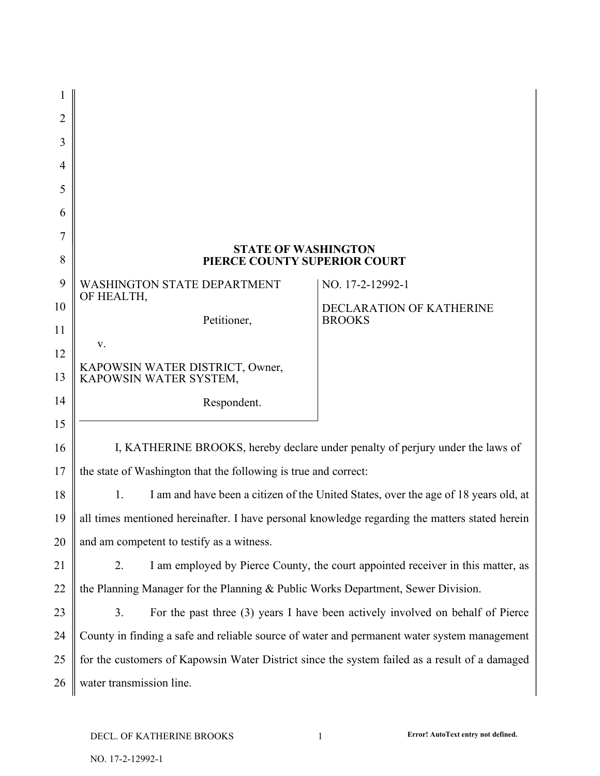| 1  |                                                                                                |                                                                                     |
|----|------------------------------------------------------------------------------------------------|-------------------------------------------------------------------------------------|
| 2  |                                                                                                |                                                                                     |
| 3  |                                                                                                |                                                                                     |
| 4  |                                                                                                |                                                                                     |
| 5  |                                                                                                |                                                                                     |
| 6  |                                                                                                |                                                                                     |
| 7  |                                                                                                |                                                                                     |
| 8  | <b>STATE OF WASHINGTON</b><br>PIERCE COUNTY SUPERIOR COURT                                     |                                                                                     |
| 9  | WASHINGTON STATE DEPARTMENT<br>OF HEALTH,                                                      | NO. 17-2-12992-1                                                                    |
| 10 | Petitioner,                                                                                    | <b>DECLARATION OF KATHERINE</b><br><b>BROOKS</b>                                    |
| 11 | V.                                                                                             |                                                                                     |
| 12 |                                                                                                |                                                                                     |
| 13 | KAPOWSIN WATER DISTRICT, Owner,<br>KAPOWSIN WATER SYSTEM,                                      |                                                                                     |
| 14 | Respondent.                                                                                    |                                                                                     |
| 15 |                                                                                                |                                                                                     |
| 16 |                                                                                                | I, KATHERINE BROOKS, hereby declare under penalty of perjury under the laws of      |
| 17 | the state of Washington that the following is true and correct:                                |                                                                                     |
| 18 | 1.                                                                                             | I am and have been a citizen of the United States, over the age of 18 years old, at |
| 19 | all times mentioned hereinafter. I have personal knowledge regarding the matters stated herein |                                                                                     |
| 20 | and am competent to testify as a witness.                                                      |                                                                                     |
| 21 | 2.                                                                                             | I am employed by Pierce County, the court appointed receiver in this matter, as     |
| 22 | the Planning Manager for the Planning & Public Works Department, Sewer Division.               |                                                                                     |
| 23 | 3.                                                                                             | For the past three (3) years I have been actively involved on behalf of Pierce      |
| 24 | County in finding a safe and reliable source of water and permanent water system management    |                                                                                     |
| 25 | for the customers of Kapowsin Water District since the system failed as a result of a damaged  |                                                                                     |
| 26 | water transmission line.                                                                       |                                                                                     |
|    |                                                                                                |                                                                                     |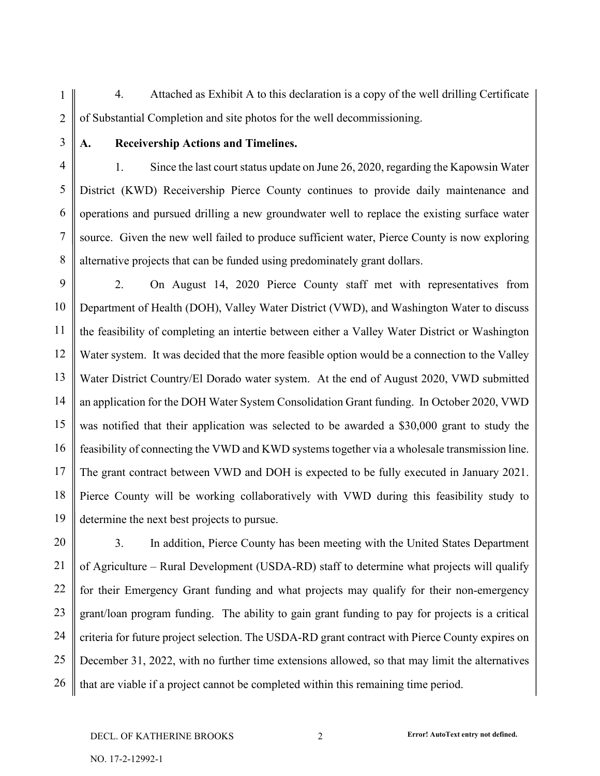1 2 4. Attached as Exhibit A to this declaration is a copy of the well drilling Certificate of Substantial Completion and site photos for the well decommissioning.

3

## **A. Receivership Actions and Timelines.**

4 5 6 7 8 1. Since the last court status update on June 26, 2020, regarding the Kapowsin Water District (KWD) Receivership Pierce County continues to provide daily maintenance and operations and pursued drilling a new groundwater well to replace the existing surface water source. Given the new well failed to produce sufficient water, Pierce County is now exploring alternative projects that can be funded using predominately grant dollars.

9 10 11 12 13 14 15 16 17 18 19 2. On August 14, 2020 Pierce County staff met with representatives from Department of Health (DOH), Valley Water District (VWD), and Washington Water to discuss the feasibility of completing an intertie between either a Valley Water District or Washington Water system. It was decided that the more feasible option would be a connection to the Valley Water District Country/El Dorado water system. At the end of August 2020, VWD submitted an application for the DOH Water System Consolidation Grant funding. In October 2020, VWD was notified that their application was selected to be awarded a \$30,000 grant to study the feasibility of connecting the VWD and KWD systems together via a wholesale transmission line. The grant contract between VWD and DOH is expected to be fully executed in January 2021. Pierce County will be working collaboratively with VWD during this feasibility study to determine the next best projects to pursue.

20 21 22 23 24 25 26 3. In addition, Pierce County has been meeting with the United States Department of Agriculture – Rural Development (USDA-RD) staff to determine what projects will qualify for their Emergency Grant funding and what projects may qualify for their non-emergency grant/loan program funding. The ability to gain grant funding to pay for projects is a critical criteria for future project selection. The USDA-RD grant contract with Pierce County expires on December 31, 2022, with no further time extensions allowed, so that may limit the alternatives that are viable if a project cannot be completed within this remaining time period.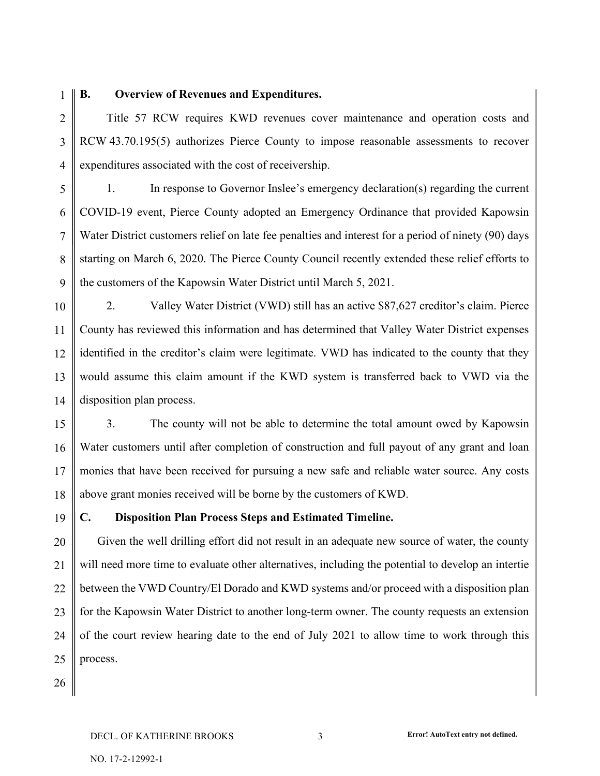1

## **B. Overview of Revenues and Expenditures.**

2 3 4 Title 57 RCW requires KWD revenues cover maintenance and operation costs and RCW 43.70.195(5) authorizes Pierce County to impose reasonable assessments to recover expenditures associated with the cost of receivership.

5 6 7 8 9 1. In response to Governor Inslee's emergency declaration(s) regarding the current COVID-19 event, Pierce County adopted an Emergency Ordinance that provided Kapowsin Water District customers relief on late fee penalties and interest for a period of ninety (90) days starting on March 6, 2020. The Pierce County Council recently extended these relief efforts to the customers of the Kapowsin Water District until March 5, 2021.

10 11 12 13 14 2. Valley Water District (VWD) still has an active \$87,627 creditor's claim. Pierce County has reviewed this information and has determined that Valley Water District expenses identified in the creditor's claim were legitimate. VWD has indicated to the county that they would assume this claim amount if the KWD system is transferred back to VWD via the disposition plan process.

15 16 17 18 3. The county will not be able to determine the total amount owed by Kapowsin Water customers until after completion of construction and full payout of any grant and loan monies that have been received for pursuing a new safe and reliable water source. Any costs above grant monies received will be borne by the customers of KWD.

19 **C. Disposition Plan Process Steps and Estimated Timeline.**

20 21 22 23 24 25 Given the well drilling effort did not result in an adequate new source of water, the county will need more time to evaluate other alternatives, including the potential to develop an intertie between the VWD Country/El Dorado and KWD systems and/or proceed with a disposition plan for the Kapowsin Water District to another long-term owner. The county requests an extension of the court review hearing date to the end of July 2021 to allow time to work through this process.

26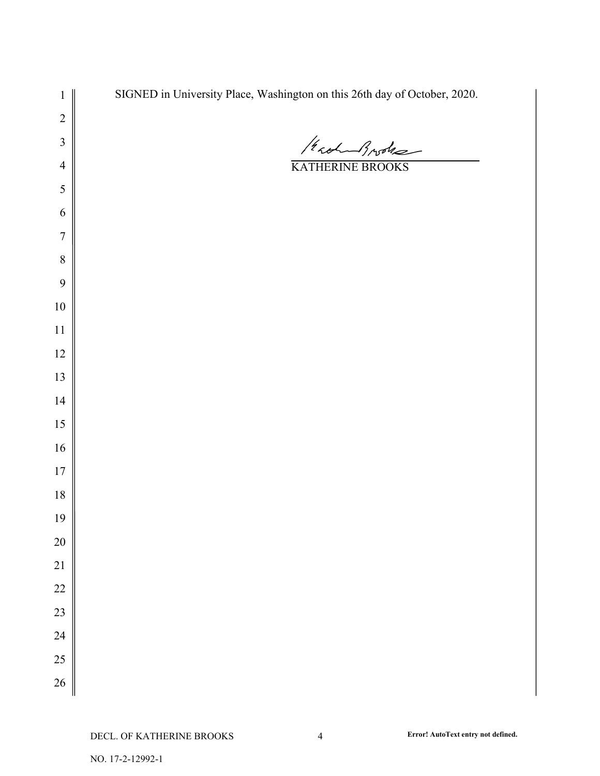| $\mathbf{1}$            | SIGNED in University Place, Washington on this 26th day of October, 2020. |
|-------------------------|---------------------------------------------------------------------------|
| $\overline{c}$          |                                                                           |
| $\overline{\mathbf{3}}$ | /robert Broke                                                             |
| $\overline{4}$          | KATHERINE BROOKS                                                          |
| 5                       |                                                                           |
| 6                       |                                                                           |
| $\overline{7}$          |                                                                           |
| $\,$ $\,$               |                                                                           |
| 9                       |                                                                           |
| $10\,$                  |                                                                           |
| $11\,$                  |                                                                           |
| $12\,$                  |                                                                           |
| $13\,$                  |                                                                           |
| 14                      |                                                                           |
| $15\,$                  |                                                                           |
| $16\,$                  |                                                                           |
| $17$                    |                                                                           |
| $18\,$                  |                                                                           |
| 19                      |                                                                           |
| 20                      |                                                                           |
| 21                      |                                                                           |
| 22                      |                                                                           |
| 23                      |                                                                           |
| 24                      |                                                                           |
| 25                      |                                                                           |
| 26                      |                                                                           |